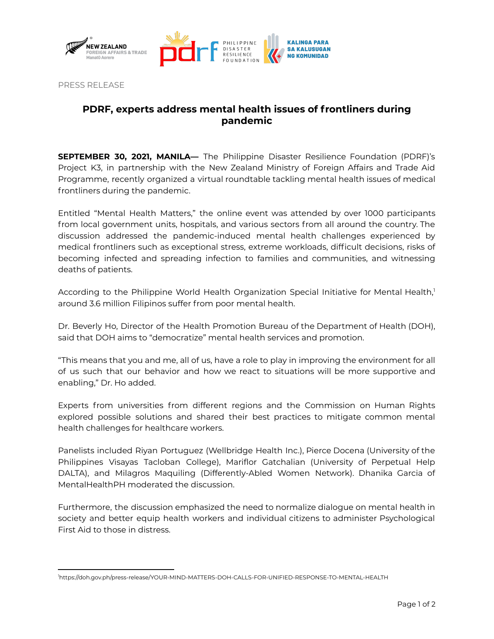



PRESS RELEASE

## **PDRF, experts address mental health issues of frontliners during pandemic**

**SEPTEMBER 30, 2021, MANILA—** The Philippine Disaster Resilience Foundation (PDRF)'s Project K3, in partnership with the New Zealand Ministry of Foreign Affairs and Trade Aid Programme, recently organized a virtual roundtable tackling mental health issues of medical frontliners during the pandemic.

Entitled "Mental Health Matters," the online event was attended by over 1000 participants from local government units, hospitals, and various sectors from all around the country. The discussion addressed the pandemic-induced mental health challenges experienced by medical frontliners such as exceptional stress, extreme workloads, difficult decisions, risks of becoming infected and spreading infection to families and communities, and witnessing deaths of patients.

According to the Philippine World Health Organization Special Initiative for Mental Health,<sup>1</sup> around 3.6 million Filipinos suffer from poor mental health.

Dr. Beverly Ho, Director of the Health Promotion Bureau of the Department of Health (DOH), said that DOH aims to "democratize" mental health services and promotion.

"This means that you and me, all of us, have a role to play in improving the environment for all of us such that our behavior and how we react to situations will be more supportive and enabling," Dr. Ho added.

Experts from universities from different regions and the Commission on Human Rights explored possible solutions and shared their best practices to mitigate common mental health challenges for healthcare workers.

Panelists included Riyan Portuguez (Wellbridge Health Inc.), Pierce Docena (University of the Philippines Visayas Tacloban College), Mariflor Gatchalian (University of Perpetual Help DALTA), and Milagros Maquiling (Differently-Abled Women Network). Dhanika Garcia of MentalHealthPH moderated the discussion.

Furthermore, the discussion emphasized the need to normalize dialogue on mental health in society and better equip health workers and individual citizens to administer Psychological First Aid to those in distress.

<sup>1</sup>https://doh.gov.ph/press-release/YOUR-MIND-MATTERS-DOH-CALLS-FOR-UNIFIED-RESPONSE-TO-MENTAL-HEALTH